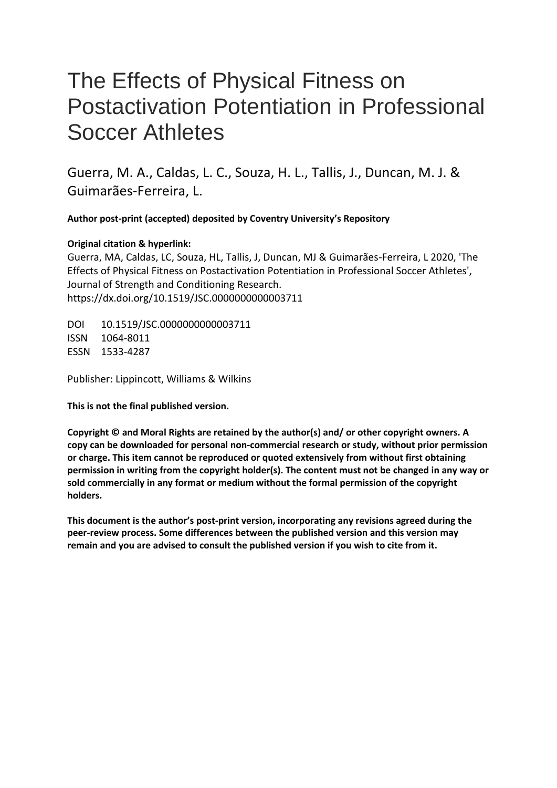# The Effects of Physical Fitness on Postactivation Potentiation in Professional Soccer Athletes

Guerra, M. A., Caldas, L. C., Souza, H. L., Tallis, J., Duncan, M. J. & Guimarães-Ferreira, L.

 **Author post-print (accepted) deposited by Coventry University's Repository** 

# **Original citation & hyperlink:**

 Guerra, MA, Caldas, LC, Souza, HL, Tallis, J, Duncan, MJ & Guimarães-Ferreira, L 2020, 'The Journal of Strength and Conditioning Research. Effects of Physical Fitness on Postactivation Potentiation in Professional Soccer Athletes', https://dx.doi.org/10.1519/JSC.0000000000003711

DOI 10.1519/JSC.0000000000003711 ISSN 1064-8011 ESSN 1533-4287

Publisher: Lippincott, Williams & Wilkins

**This is not the final published version.** 

 **permission in writing from the copyright holder(s). The content must not be changed in any way or Copyright © and Moral Rights are retained by the author(s) and/ or other copyright owners. A copy can be downloaded for personal non-commercial research or study, without prior permission or charge. This item cannot be reproduced or quoted extensively from without first obtaining sold commercially in any format or medium without the formal permission of the copyright holders.** 

**This document is the author's post-print version, incorporating any revisions agreed during the peer-review process. Some differences between the published version and this version may remain and you are advised to consult the published version if you wish to cite from it.**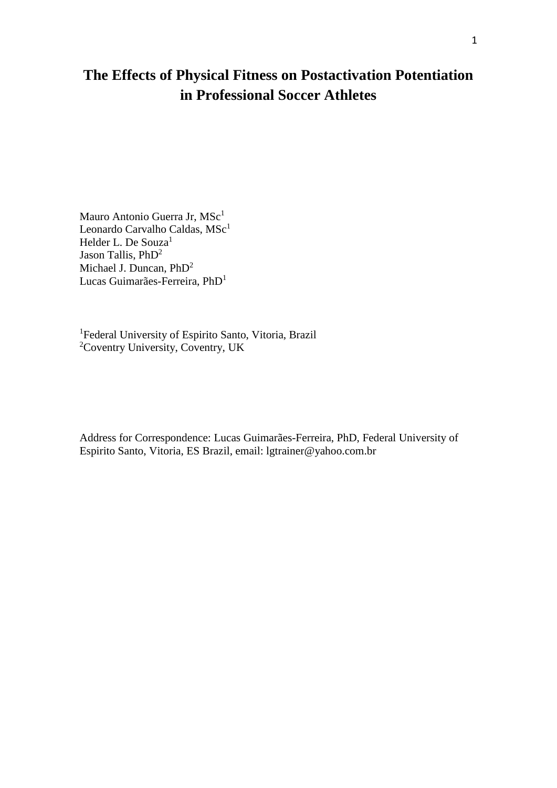# **The Effects of Physical Fitness on Postactivation Potentiation in Professional Soccer Athletes**

Mauro Antonio Guerra Jr, MSc<sup>1</sup> Leonardo Carvalho Caldas, MSc<sup>1</sup> Helder L. De Souza<sup>1</sup> Jason Tallis, PhD<sup>2</sup> Michael J. Duncan, PhD<sup>2</sup> Lucas Guimarães-Ferreira, PhD<sup>1</sup>

<sup>1</sup>Federal University of Espirito Santo, Vitoria, Brazil 2 Coventry University, Coventry, UK

Address for Correspondence: Lucas Guimarães-Ferreira, PhD, Federal University of Espirito Santo, Vitoria, ES Brazil, email: lgtrainer@yahoo.com.br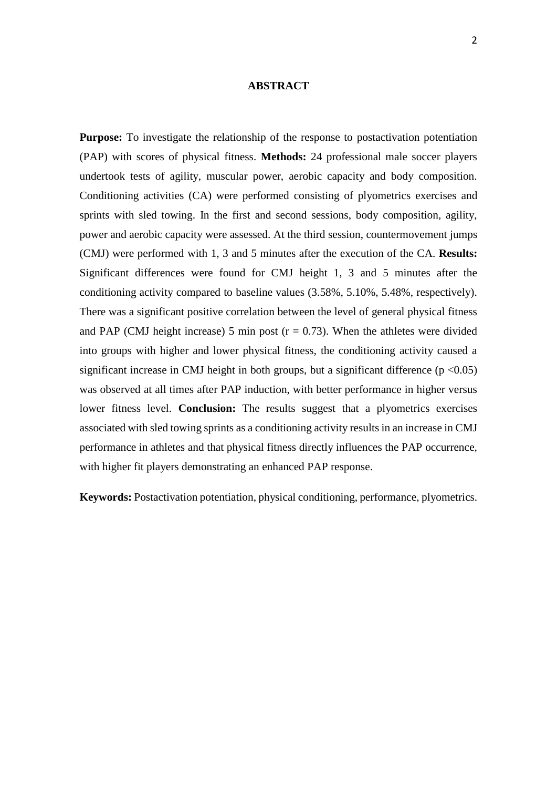#### **ABSTRACT**

 (PAP) with scores of physical fitness. **Methods:** 24 professional male soccer players undertook tests of agility, muscular power, aerobic capacity and body composition. Significant differences were found for CMJ height 1, 3 and 5 minutes after the conditioning activity compared to baseline values (3.58%, 5.10%, 5.48%, respectively). There was a significant positive correlation between the level of general physical fitness and PAP (CMJ height increase) 5 min post ( $r = 0.73$ ). When the athletes were divided into groups with higher and lower physical fitness, the conditioning activity caused a significant increase in CMJ height in both groups, but a significant difference  $(p < 0.05)$  was observed at all times after PAP induction, with better performance in higher versus lower fitness level. **Conclusion:** The results suggest that a plyometrics exercises associated with sled towing sprints as a conditioning activity results in an increase in CMJ **Purpose:** To investigate the relationship of the response to postactivation potentiation Conditioning activities (CA) were performed consisting of plyometrics exercises and sprints with sled towing. In the first and second sessions, body composition, agility, power and aerobic capacity were assessed. At the third session, countermovement jumps (CMJ) were performed with 1, 3 and 5 minutes after the execution of the CA. **Results:**  performance in athletes and that physical fitness directly influences the PAP occurrence, with higher fit players demonstrating an enhanced PAP response.

**Keywords:** Postactivation potentiation, physical conditioning, performance, plyometrics.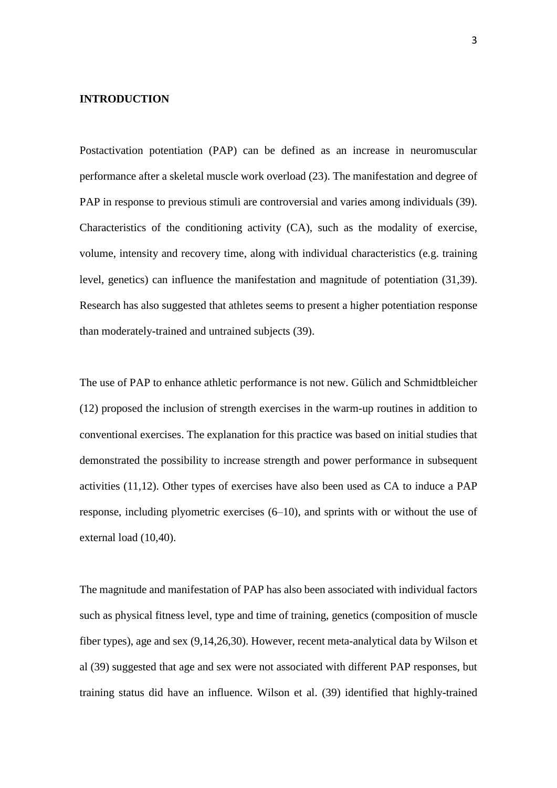# **INTRODUCTION**

 performance after a skeletal muscle work overload (23). The manifestation and degree of level, genetics) can influence the manifestation and magnitude of potentiation (31,39). Postactivation potentiation (PAP) can be defined as an increase in neuromuscular PAP in response to previous stimuli are controversial and varies among individuals (39). Characteristics of the conditioning activity (CA), such as the modality of exercise, volume, intensity and recovery time, along with individual characteristics (e.g. training Research has also suggested that athletes seems to present a higher potentiation response than moderately-trained and untrained subjects (39).

 conventional exercises. The explanation for this practice was based on initial studies that activities (11,12). Other types of exercises have also been used as CA to induce a PAP response, including plyometric exercises (6–10), and sprints with or without the use of The use of PAP to enhance athletic performance is not new. Gülich and Schmidtbleicher (12) proposed the inclusion of strength exercises in the warm-up routines in addition to demonstrated the possibility to increase strength and power performance in subsequent external load (10,40).

 The magnitude and manifestation of PAP has also been associated with individual factors fiber types), age and sex (9,14,26,30). However, recent meta-analytical data by Wilson et training status did have an influence. Wilson et al. (39) identified that highly-trained such as physical fitness level, type and time of training, genetics (composition of muscle al (39) suggested that age and sex were not associated with different PAP responses, but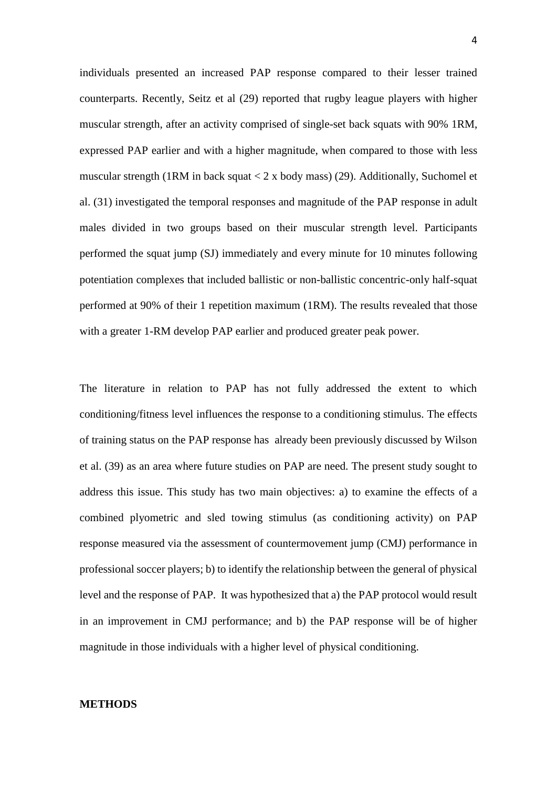counterparts. Recently, Seitz et al (29) reported that rugby league players with higher performed the squat jump (SJ) immediately and every minute for 10 minutes following performed at 90% of their 1 repetition maximum (1RM). The results revealed that those individuals presented an increased PAP response compared to their lesser trained muscular strength, after an activity comprised of single-set back squats with 90% 1RM, expressed PAP earlier and with a higher magnitude, when compared to those with less muscular strength (1RM in back squat  $\lt 2$  x body mass) (29). Additionally, Suchomel et al. (31) investigated the temporal responses and magnitude of the PAP response in adult males divided in two groups based on their muscular strength level. Participants potentiation complexes that included ballistic or non-ballistic concentric-only half-squat with a greater 1-RM develop PAP earlier and produced greater peak power.

 The literature in relation to PAP has not fully addressed the extent to which et al. (39) as an area where future studies on PAP are need. The present study sought to address this issue. This study has two main objectives: a) to examine the effects of a level and the response of PAP. It was hypothesized that a) the PAP protocol would result in an improvement in CMJ performance; and b) the PAP response will be of higher conditioning/fitness level influences the response to a conditioning stimulus. The effects of training status on the PAP response has already been previously discussed by Wilson combined plyometric and sled towing stimulus (as conditioning activity) on PAP response measured via the assessment of countermovement jump (CMJ) performance in professional soccer players; b) to identify the relationship between the general of physical magnitude in those individuals with a higher level of physical conditioning.

#### **METHODS**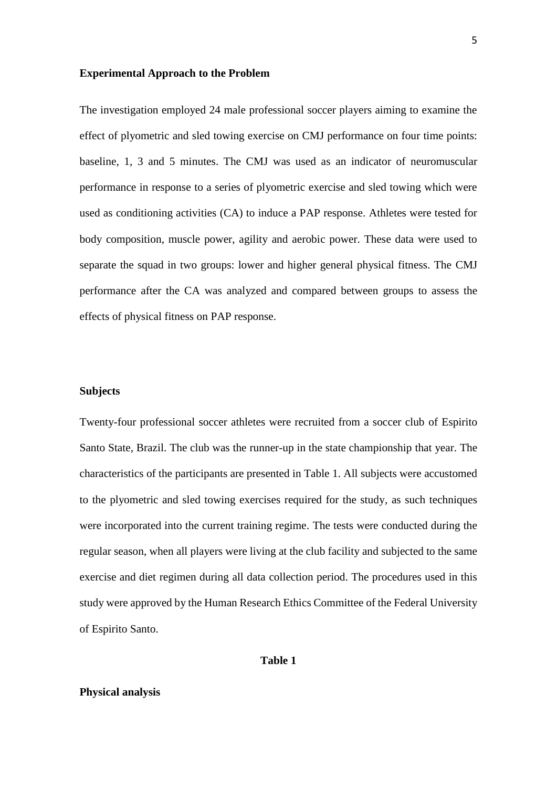#### **Experimental Approach to the Problem**

 The investigation employed 24 male professional soccer players aiming to examine the baseline, 1, 3 and 5 minutes. The CMJ was used as an indicator of neuromuscular performance in response to a series of plyometric exercise and sled towing which were used as conditioning activities (CA) to induce a PAP response. Athletes were tested for body composition, muscle power, agility and aerobic power. These data were used to effect of plyometric and sled towing exercise on CMJ performance on four time points: separate the squad in two groups: lower and higher general physical fitness. The CMJ performance after the CA was analyzed and compared between groups to assess the effects of physical fitness on PAP response.

#### **Subjects**

 were incorporated into the current training regime. The tests were conducted during the study were approved by the Human Research Ethics Committee of the Federal University Twenty-four professional soccer athletes were recruited from a soccer club of Espirito Santo State, Brazil. The club was the runner-up in the state championship that year. The characteristics of the participants are presented in Table 1. All subjects were accustomed to the plyometric and sled towing exercises required for the study, as such techniques regular season, when all players were living at the club facility and subjected to the same exercise and diet regimen during all data collection period. The procedures used in this of Espirito Santo.

#### **Table 1**

# **Physical analysis**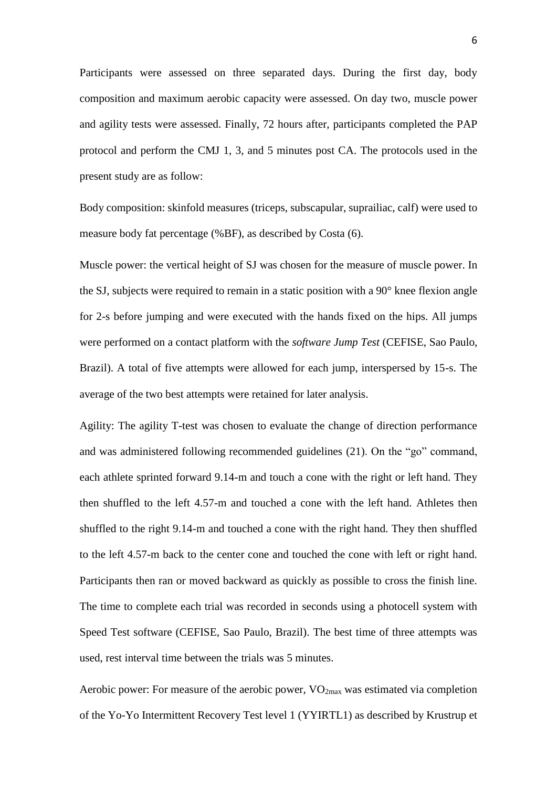Participants were assessed on three separated days. During the first day, body composition and maximum aerobic capacity were assessed. On day two, muscle power and agility tests were assessed. Finally, 72 hours after, participants completed the PAP protocol and perform the CMJ 1, 3, and 5 minutes post CA. The protocols used in the present study are as follow:

Body composition: skinfold measures (triceps, subscapular, suprailiac, calf) were used to measure body fat percentage (%BF), as described by Costa (6).

 Brazil). A total of five attempts were allowed for each jump, interspersed by 15-s. The Muscle power: the vertical height of SJ was chosen for the measure of muscle power. In the SJ, subjects were required to remain in a static position with a 90° knee flexion angle for 2-s before jumping and were executed with the hands fixed on the hips. All jumps were performed on a contact platform with the *software Jump Test* (CEFISE, Sao Paulo, average of the two best attempts were retained for later analysis.

 Agility: The agility T-test was chosen to evaluate the change of direction performance and was administered following recommended guidelines (21). On the "go" command, each athlete sprinted forward 9.14-m and touch a cone with the right or left hand. They then shuffled to the left 4.57-m and touched a cone with the left hand. Athletes then shuffled to the right 9.14-m and touched a cone with the right hand. They then shuffled to the left 4.57-m back to the center cone and touched the cone with left or right hand. Participants then ran or moved backward as quickly as possible to cross the finish line. The time to complete each trial was recorded in seconds using a photocell system with Speed Test software (CEFISE, Sao Paulo, Brazil). The best time of three attempts was used, rest interval time between the trials was 5 minutes.

Aerobic power: For measure of the aerobic power,  $VO<sub>2max</sub>$  was estimated via completion of the Yo-Yo Intermittent Recovery Test level 1 (YYIRTL1) as described by Krustrup et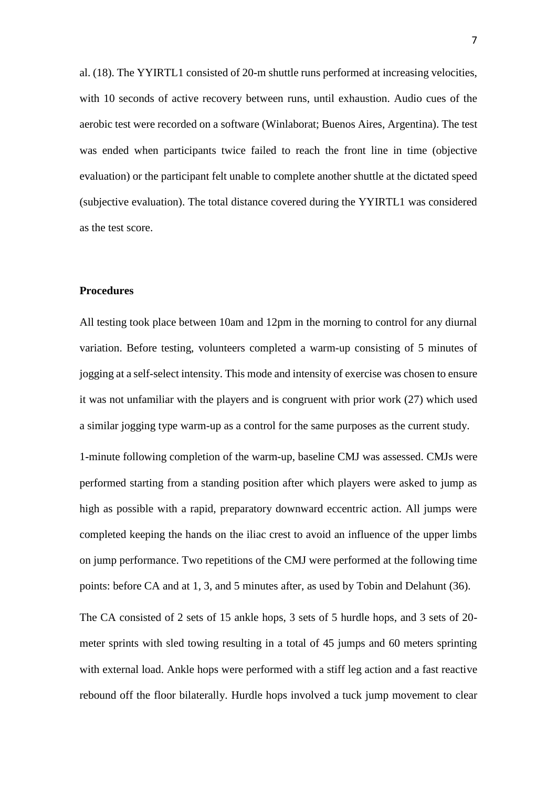al. (18). The YYIRTL1 consisted of 20-m shuttle runs performed at increasing velocities, with 10 seconds of active recovery between runs, until exhaustion. Audio cues of the evaluation) or the participant felt unable to complete another shuttle at the dictated speed aerobic test were recorded on a software (Winlaborat; Buenos Aires, Argentina). The test was ended when participants twice failed to reach the front line in time (objective (subjective evaluation). The total distance covered during the YYIRTL1 was considered as the test score.

#### **Procedures**

 All testing took place between 10am and 12pm in the morning to control for any diurnal variation. Before testing, volunteers completed a warm-up consisting of 5 minutes of jogging at a self-select intensity. This mode and intensity of exercise was chosen to ensure it was not unfamiliar with the players and is congruent with prior work (27) which used a similar jogging type warm-up as a control for the same purposes as the current study.

 1-minute following completion of the warm-up, baseline CMJ was assessed. CMJs were performed starting from a standing position after which players were asked to jump as completed keeping the hands on the iliac crest to avoid an influence of the upper limbs high as possible with a rapid, preparatory downward eccentric action. All jumps were on jump performance. Two repetitions of the CMJ were performed at the following time points: before CA and at 1, 3, and 5 minutes after, as used by Tobin and Delahunt (36).

 meter sprints with sled towing resulting in a total of 45 jumps and 60 meters sprinting with external load. Ankle hops were performed with a stiff leg action and a fast reactive rebound off the floor bilaterally. Hurdle hops involved a tuck jump movement to clear The CA consisted of 2 sets of 15 ankle hops, 3 sets of 5 hurdle hops, and 3 sets of 20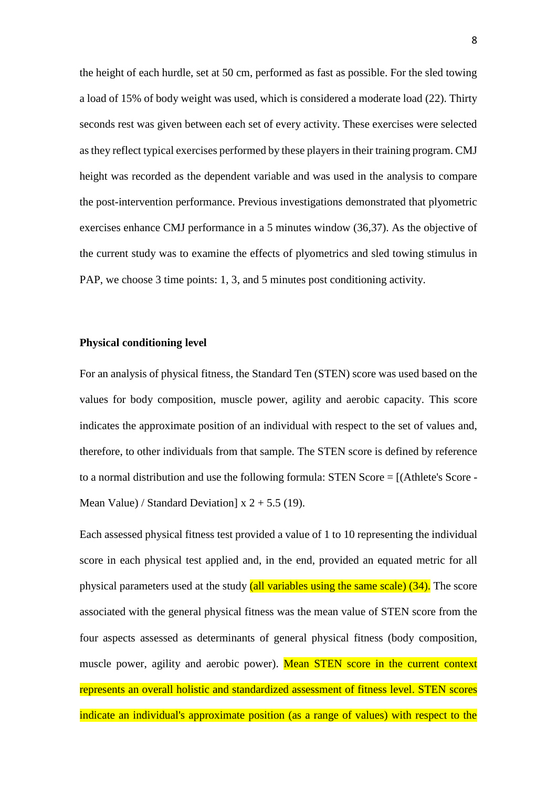the height of each hurdle, set at 50 cm, performed as fast as possible. For the sled towing a load of 15% of body weight was used, which is considered a moderate load (22). Thirty as they reflect typical exercises performed by these players in their training program. CMJ exercises enhance CMJ performance in a 5 minutes window (36,37). As the objective of the current study was to examine the effects of plyometrics and sled towing stimulus in seconds rest was given between each set of every activity. These exercises were selected height was recorded as the dependent variable and was used in the analysis to compare the post-intervention performance. Previous investigations demonstrated that plyometric PAP, we choose 3 time points: 1, 3, and 5 minutes post conditioning activity.

# **Physical conditioning level**

 For an analysis of physical fitness, the Standard Ten (STEN) score was used based on the values for body composition, muscle power, agility and aerobic capacity. This score to a normal distribution and use the following formula: STEN Score = [(Athlete's Score indicates the approximate position of an individual with respect to the set of values and, therefore, to other individuals from that sample. The STEN score is defined by reference Mean Value) / Standard Deviation]  $x$  2 + 5.5 (19).

 Each assessed physical fitness test provided a value of 1 to 10 representing the individual score in each physical test applied and, in the end, provided an equated metric for all associated with the general physical fitness was the mean value of STEN score from the four aspects assessed as determinants of general physical fitness (body composition, muscle power, agility and aerobic power). Mean STEN score in the current context represents an overall holistic and standardized assessment of fitness level. STEN scores indicate an individual's approximate position (as a range of values) with respect to the physical parameters used at the study (all variables using the same scale) (34). The score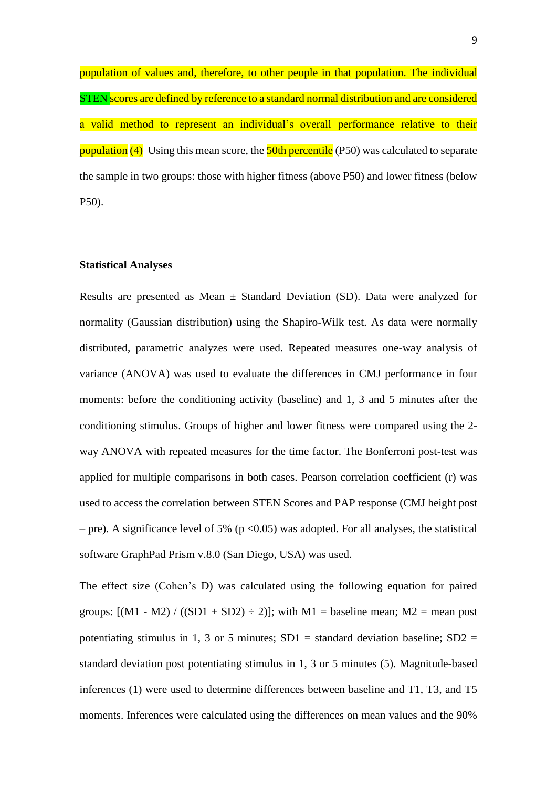STEN scores are defined by reference to a standard normal distribution and are considered a valid method to represent an individual's overall performance relative to their population of values and, therefore, to other people in that population. The individual population (4) Using this mean score, the 50th percentile (P50) was calculated to separate the sample in two groups: those with higher fitness (above P50) and lower fitness (below P50).

#### **Statistical Analyses**

Results are presented as Mean  $\pm$  Standard Deviation (SD). Data were analyzed for normality (Gaussian distribution) using the Shapiro-Wilk test. As data were normally distributed, parametric analyzes were used. Repeated measures one-way analysis of variance (ANOVA) was used to evaluate the differences in CMJ performance in four moments: before the conditioning activity (baseline) and 1, 3 and 5 minutes after the way ANOVA with repeated measures for the time factor. The Bonferroni post-test was – pre). A significance level of 5% ( $p < 0.05$ ) was adopted. For all analyses, the statistical conditioning stimulus. Groups of higher and lower fitness were compared using the 2 applied for multiple comparisons in both cases. Pearson correlation coefficient (r) was used to access the correlation between STEN Scores and PAP response (CMJ height post software GraphPad Prism v.8.0 (San Diego, USA) was used.

 The effect size (Cohen's D) was calculated using the following equation for paired groups:  $[(M1 - M2) / ((SD1 + SD2) \div 2)]$ ; with  $M1 =$  baseline mean;  $M2 =$  mean post potentiating stimulus in 1, 3 or 5 minutes;  $SD1 =$  standard deviation baseline;  $SD2 =$  standard deviation post potentiating stimulus in 1, 3 or 5 minutes (5). Magnitude-based inferences (1) were used to determine differences between baseline and T1, T3, and T5 moments. Inferences were calculated using the differences on mean values and the 90%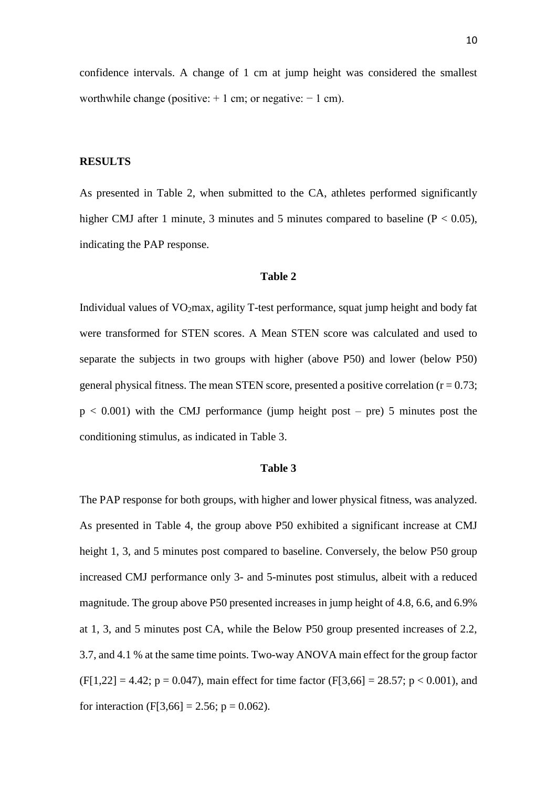confidence intervals. A change of 1 cm at jump height was considered the smallest worthwhile change (positive:  $+1$  cm; or negative:  $-1$  cm).

#### **RESULTS**

higher CMJ after 1 minute, 3 minutes and 5 minutes compared to baseline  $(P < 0.05)$ , As presented in Table 2, when submitted to the CA, athletes performed significantly indicating the PAP response.

#### **Table 2**

 were transformed for STEN scores. A Mean STEN score was calculated and used to separate the subjects in two groups with higher (above P50) and lower (below P50) general physical fitness. The mean STEN score, presented a positive correlation  $(r = 0.73)$ ; Individual values of  $VO<sub>2</sub>max$ , agility T-test performance, squat jump height and body fat  $p < 0.001$ ) with the CMJ performance (jump height post – pre) 5 minutes post the conditioning stimulus, as indicated in Table 3.

#### **Table 3**

 increased CMJ performance only 3- and 5-minutes post stimulus, albeit with a reduced 3.7, and 4.1 % at the same time points. Two-way ANOVA main effect for the group factor  $(F[1,22] = 4.42; p = 0.047)$ , main effect for time factor  $(F[3,66] = 28.57; p < 0.001)$ , and The PAP response for both groups, with higher and lower physical fitness, was analyzed. As presented in Table 4, the group above P50 exhibited a significant increase at CMJ height 1, 3, and 5 minutes post compared to baseline. Conversely, the below P50 group magnitude. The group above P50 presented increases in jump height of 4.8, 6.6, and 6.9% at 1, 3, and 5 minutes post CA, while the Below P50 group presented increases of 2.2, for interaction (F[3,66] = 2.56; p = 0.062).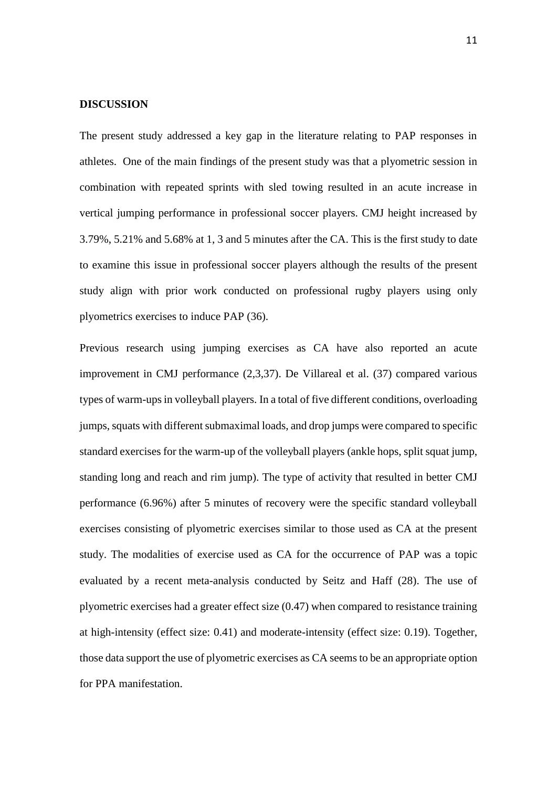#### **DISCUSSION**

 The present study addressed a key gap in the literature relating to PAP responses in athletes. One of the main findings of the present study was that a plyometric session in 3.79%, 5.21% and 5.68% at 1, 3 and 5 minutes after the CA. This is the first study to date study align with prior work conducted on professional rugby players using only combination with repeated sprints with sled towing resulted in an acute increase in vertical jumping performance in professional soccer players. CMJ height increased by to examine this issue in professional soccer players although the results of the present plyometrics exercises to induce PAP (36).

 types of warm-ups in volleyball players. In a total of five different conditions, overloading standard exercises for the warm-up of the volleyball players (ankle hops, split squat jump, standing long and reach and rim jump). The type of activity that resulted in better CMJ performance (6.96%) after 5 minutes of recovery were the specific standard volleyball study. The modalities of exercise used as CA for the occurrence of PAP was a topic evaluated by a recent meta-analysis conducted by Seitz and Haff (28). The use of plyometric exercises had a greater effect size (0.47) when compared to resistance training Previous research using jumping exercises as CA have also reported an acute improvement in CMJ performance (2,3,37). De Villareal et al. (37) compared various jumps, squats with different submaximal loads, and drop jumps were compared to specific exercises consisting of plyometric exercises similar to those used as CA at the present at high-intensity (effect size: 0.41) and moderate-intensity (effect size: 0.19). Together, those data support the use of plyometric exercises as CA seems to be an appropriate option for PPA manifestation.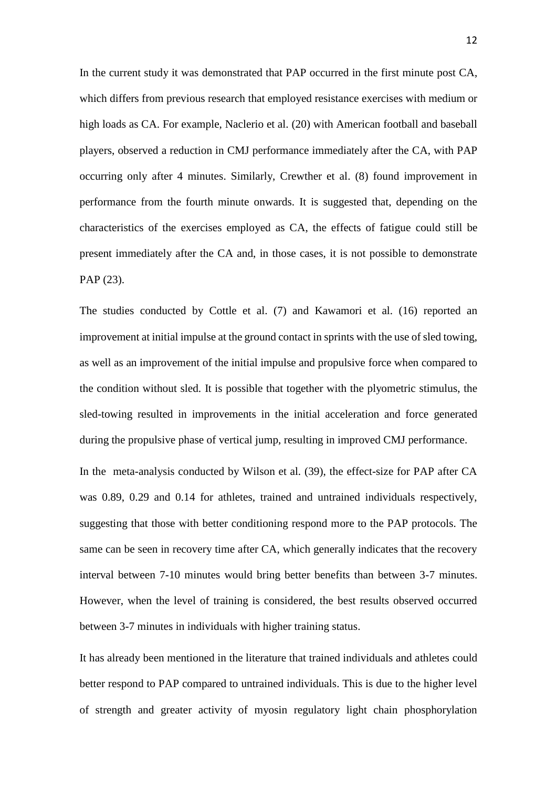In the current study it was demonstrated that PAP occurred in the first minute post CA, high loads as CA. For example, Naclerio et al. (20) with American football and baseball occurring only after 4 minutes. Similarly, Crewther et al. (8) found improvement in which differs from previous research that employed resistance exercises with medium or players, observed a reduction in CMJ performance immediately after the CA, with PAP performance from the fourth minute onwards. It is suggested that, depending on the characteristics of the exercises employed as CA, the effects of fatigue could still be present immediately after the CA and, in those cases, it is not possible to demonstrate PAP (23).

 improvement at initial impulse at the ground contact in sprints with the use of sled towing, as well as an improvement of the initial impulse and propulsive force when compared to The studies conducted by Cottle et al. (7) and Kawamori et al. (16) reported an the condition without sled. It is possible that together with the plyometric stimulus, the sled-towing resulted in improvements in the initial acceleration and force generated during the propulsive phase of vertical jump, resulting in improved CMJ performance.

 In the meta-analysis conducted by Wilson et al. (39), the effect-size for PAP after CA same can be seen in recovery time after CA, which generally indicates that the recovery was 0.89, 0.29 and 0.14 for athletes, trained and untrained individuals respectively, suggesting that those with better conditioning respond more to the PAP protocols. The interval between 7-10 minutes would bring better benefits than between 3-7 minutes. However, when the level of training is considered, the best results observed occurred between 3-7 minutes in individuals with higher training status.

 It has already been mentioned in the literature that trained individuals and athletes could of strength and greater activity of myosin regulatory light chain phosphorylation better respond to PAP compared to untrained individuals. This is due to the higher level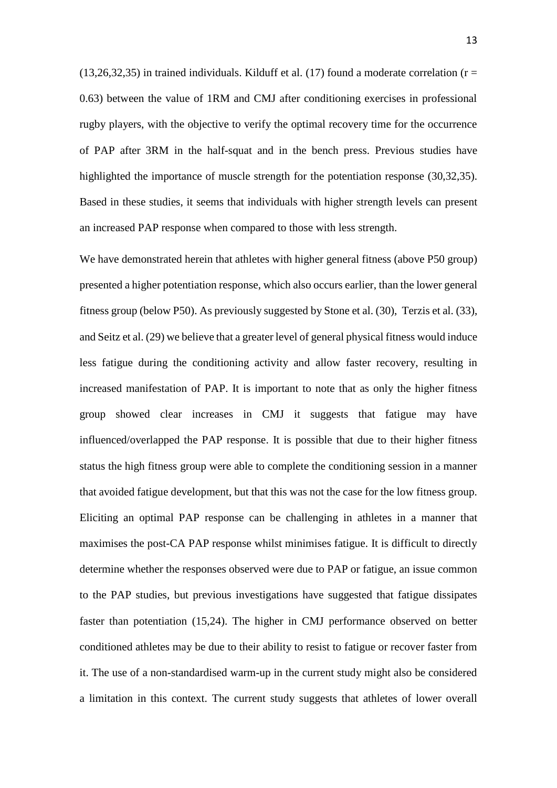$(13,26,32,35)$  in trained individuals. Kilduff et al.  $(17)$  found a moderate correlation (r = 0.63) between the value of 1RM and CMJ after conditioning exercises in professional rugby players, with the objective to verify the optimal recovery time for the occurrence highlighted the importance of muscle strength for the potentiation response (30,32,35). of PAP after 3RM in the half-squat and in the bench press. Previous studies have Based in these studies, it seems that individuals with higher strength levels can present an increased PAP response when compared to those with less strength.

 We have demonstrated herein that athletes with higher general fitness (above P50 group) presented a higher potentiation response, which also occurs earlier, than the lower general and Seitz et al. (29) we believe that a greater level of general physical fitness would induce less fatigue during the conditioning activity and allow faster recovery, resulting in group showed clear increases in CMJ it suggests that fatigue may have influenced/overlapped the PAP response. It is possible that due to their higher fitness status the high fitness group were able to complete the conditioning session in a manner that avoided fatigue development, but that this was not the case for the low fitness group. Eliciting an optimal PAP response can be challenging in athletes in a manner that maximises the post-CA PAP response whilst minimises fatigue. It is difficult to directly conditioned athletes may be due to their ability to resist to fatigue or recover faster from it. The use of a non-standardised warm-up in the current study might also be considered a limitation in this context. The current study suggests that athletes of lower overall fitness group (below P50). As previously suggested by Stone et al. (30), Terzis et al. (33), increased manifestation of PAP. It is important to note that as only the higher fitness determine whether the responses observed were due to PAP or fatigue, an issue common to the PAP studies, but previous investigations have suggested that fatigue dissipates faster than potentiation (15,24). The higher in CMJ performance observed on better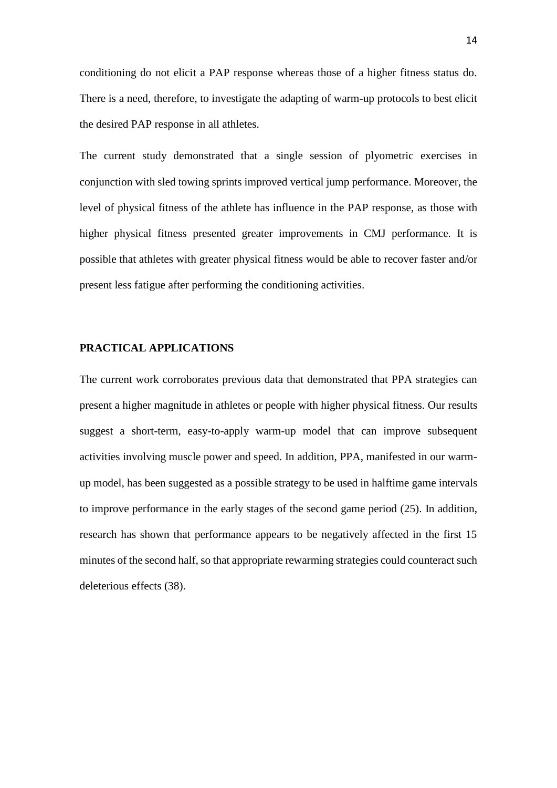conditioning do not elicit a PAP response whereas those of a higher fitness status do. There is a need, therefore, to investigate the adapting of warm-up protocols to best elicit the desired PAP response in all athletes.

 The current study demonstrated that a single session of plyometric exercises in conjunction with sled towing sprints improved vertical jump performance. Moreover, the level of physical fitness of the athlete has influence in the PAP response, as those with higher physical fitness presented greater improvements in CMJ performance. It is possible that athletes with greater physical fitness would be able to recover faster and/or present less fatigue after performing the conditioning activities.

# **PRACTICAL APPLICATIONS**

 up model, has been suggested as a possible strategy to be used in halftime game intervals to improve performance in the early stages of the second game period (25). In addition, research has shown that performance appears to be negatively affected in the first 15 The current work corroborates previous data that demonstrated that PPA strategies can present a higher magnitude in athletes or people with higher physical fitness. Our results suggest a short-term, easy-to-apply warm-up model that can improve subsequent activities involving muscle power and speed. In addition, PPA, manifested in our warmminutes of the second half, so that appropriate rewarming strategies could counteract such deleterious effects (38).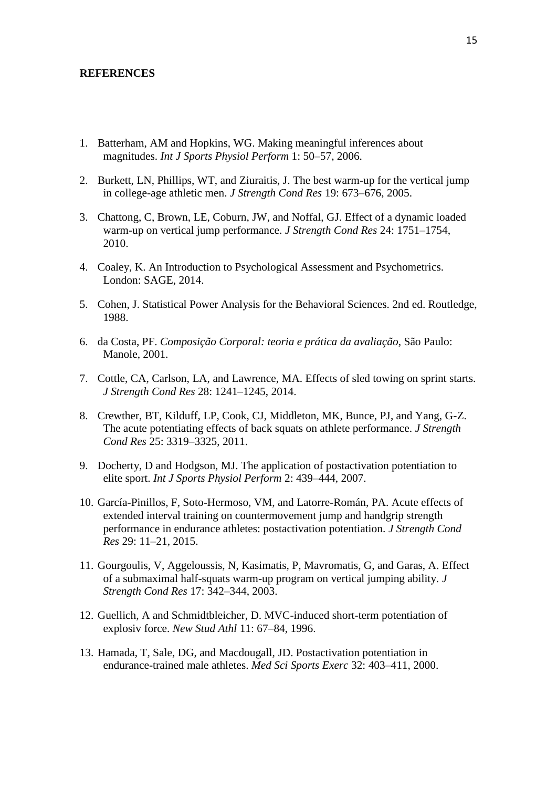#### **REFERENCES**

- 1. Batterham, AM and Hopkins, WG. Making meaningful inferences about magnitudes. *Int J Sports Physiol Perform* 1: 50–57, 2006.
- 2. Burkett, LN, Phillips, WT, and Ziuraitis, J. The best warm-up for the vertical jump in college-age athletic men. *J Strength Cond Res* 19: 673–676, 2005.
- 3. Chattong, C, Brown, LE, Coburn, JW, and Noffal, GJ. Effect of a dynamic loaded warm-up on vertical jump performance. *J Strength Cond Res* 24: 1751–1754, 2010.
- 4. Coaley, K. An Introduction to Psychological Assessment and Psychometrics. London: SAGE, 2014.
- 5. Cohen, J. Statistical Power Analysis for the Behavioral Sciences. 2nd ed. Routledge, 1988.
- 6. da Costa, PF. *Composição Corporal: teoria e prática da avaliação*, São Paulo: Manole, 2001.
- 7. Cottle, CA, Carlson, LA, and Lawrence, MA. Effects of sled towing on sprint starts. *J Strength Cond Res* 28: 1241–1245, 2014.
- 8. Crewther, BT, Kilduff, LP, Cook, CJ, Middleton, MK, Bunce, PJ, and Yang, G-Z. The acute potentiating effects of back squats on athlete performance. *J Strength Cond Res* 25: 3319–3325, 2011.
- 9. Docherty, D and Hodgson, MJ. The application of postactivation potentiation to elite sport. *Int J Sports Physiol Perform* 2: 439–444, 2007.
- 10. García-Pinillos, F, Soto-Hermoso, VM, and Latorre-Román, PA. Acute effects of extended interval training on countermovement jump and handgrip strength performance in endurance athletes: postactivation potentiation. *J Strength Cond Res* 29: 11–21, 2015.
- 11. Gourgoulis, V, Aggeloussis, N, Kasimatis, P, Mavromatis, G, and Garas, A. Effect of a submaximal half-squats warm-up program on vertical jumping ability. *J Strength Cond Res* 17: 342–344, 2003.
- 12. Guellich, A and Schmidtbleicher, D. MVC-induced short-term potentiation of explosiv force. *New Stud Athl* 11: 67–84, 1996.
- 13. Hamada, T, Sale, DG, and Macdougall, JD. Postactivation potentiation in endurance-trained male athletes. *Med Sci Sports Exerc* 32: 403–411, 2000.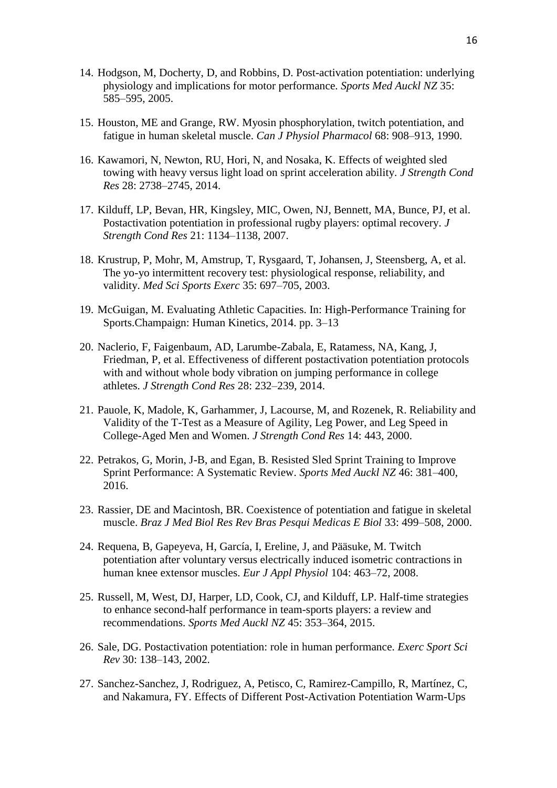- 14. Hodgson, M, Docherty, D, and Robbins, D. Post-activation potentiation: underlying physiology and implications for motor performance. *Sports Med Auckl NZ* 35: 585–595, 2005.
- 15. Houston, ME and Grange, RW. Myosin phosphorylation, twitch potentiation, and fatigue in human skeletal muscle. *Can J Physiol Pharmacol* 68: 908–913, 1990.
- 16. Kawamori, N, Newton, RU, Hori, N, and Nosaka, K. Effects of weighted sled towing with heavy versus light load on sprint acceleration ability. *J Strength Cond Res* 28: 2738–2745, 2014.
- 17. Kilduff, LP, Bevan, HR, Kingsley, MIC, Owen, NJ, Bennett, MA, Bunce, PJ, et al. Postactivation potentiation in professional rugby players: optimal recovery. *J Strength Cond Res* 21: 1134–1138, 2007.
- 18. Krustrup, P, Mohr, M, Amstrup, T, Rysgaard, T, Johansen, J, Steensberg, A, et al. The yo-yo intermittent recovery test: physiological response, reliability, and validity. *Med Sci Sports Exerc* 35: 697–705, 2003.
- 19. McGuigan, M. Evaluating Athletic Capacities. In: High-Performance Training for Sports.Champaign: Human Kinetics, 2014. pp. 3–13
- 20. Naclerio, F, Faigenbaum, AD, Larumbe-Zabala, E, Ratamess, NA, Kang, J, Friedman, P, et al. Effectiveness of different postactivation potentiation protocols with and without whole body vibration on jumping performance in college athletes. *J Strength Cond Res* 28: 232–239, 2014.
- 21. Pauole, K, Madole, K, Garhammer, J, Lacourse, M, and Rozenek, R. Reliability and Validity of the T-Test as a Measure of Agility, Leg Power, and Leg Speed in College-Aged Men and Women. *J Strength Cond Res* 14: 443, 2000.
- 22. Petrakos, G, Morin, J-B, and Egan, B. Resisted Sled Sprint Training to Improve Sprint Performance: A Systematic Review. *Sports Med Auckl NZ* 46: 381–400, 2016.
- 23. Rassier, DE and Macintosh, BR. Coexistence of potentiation and fatigue in skeletal muscle. *Braz J Med Biol Res Rev Bras Pesqui Medicas E Biol* 33: 499–508, 2000.
- 24. Requena, B, Gapeyeva, H, García, I, Ereline, J, and Pääsuke, M. Twitch potentiation after voluntary versus electrically induced isometric contractions in human knee extensor muscles. *Eur J Appl Physiol* 104: 463–72, 2008.
- 25. Russell, M, West, DJ, Harper, LD, Cook, CJ, and Kilduff, LP. Half-time strategies to enhance second-half performance in team-sports players: a review and recommendations. *Sports Med Auckl NZ* 45: 353–364, 2015.
- 26. Sale, DG. Postactivation potentiation: role in human performance. *Exerc Sport Sci Rev* 30: 138–143, 2002.
- 27. Sanchez-Sanchez, J, Rodriguez, A, Petisco, C, Ramirez-Campillo, R, Martínez, C, and Nakamura, FY. Effects of Different Post-Activation Potentiation Warm-Ups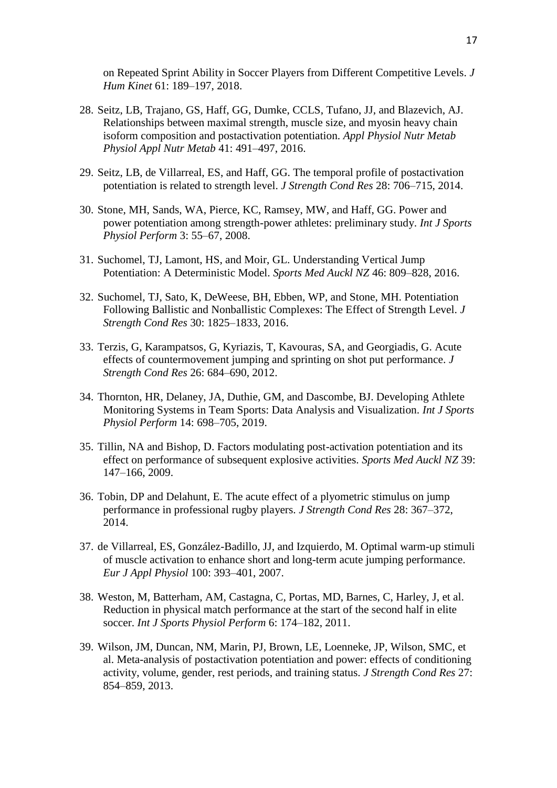on Repeated Sprint Ability in Soccer Players from Different Competitive Levels. *J Hum Kinet* 61: 189–197, 2018.

- 28. Seitz, LB, Trajano, GS, Haff, GG, Dumke, CCLS, Tufano, JJ, and Blazevich, AJ. Relationships between maximal strength, muscle size, and myosin heavy chain isoform composition and postactivation potentiation. *Appl Physiol Nutr Metab Physiol Appl Nutr Metab* 41: 491–497, 2016.
- 29. Seitz, LB, de Villarreal, ES, and Haff, GG. The temporal profile of postactivation potentiation is related to strength level. *J Strength Cond Res* 28: 706–715, 2014.
- 30. Stone, MH, Sands, WA, Pierce, KC, Ramsey, MW, and Haff, GG. Power and power potentiation among strength-power athletes: preliminary study. *Int J Sports Physiol Perform* 3: 55–67, 2008.
- 31. Suchomel, TJ, Lamont, HS, and Moir, GL. Understanding Vertical Jump Potentiation: A Deterministic Model. *Sports Med Auckl NZ* 46: 809–828, 2016.
- 32. Suchomel, TJ, Sato, K, DeWeese, BH, Ebben, WP, and Stone, MH. Potentiation Following Ballistic and Nonballistic Complexes: The Effect of Strength Level. *J Strength Cond Res* 30: 1825–1833, 2016.
- 33. Terzis, G, Karampatsos, G, Kyriazis, T, Kavouras, SA, and Georgiadis, G. Acute effects of countermovement jumping and sprinting on shot put performance. *J Strength Cond Res* 26: 684–690, 2012.
- 34. Thornton, HR, Delaney, JA, Duthie, GM, and Dascombe, BJ. Developing Athlete Monitoring Systems in Team Sports: Data Analysis and Visualization. *Int J Sports Physiol Perform* 14: 698–705, 2019.
- 35. Tillin, NA and Bishop, D. Factors modulating post-activation potentiation and its effect on performance of subsequent explosive activities. *Sports Med Auckl NZ* 39: 147–166, 2009.
- 36. Tobin, DP and Delahunt, E. The acute effect of a plyometric stimulus on jump performance in professional rugby players. *J Strength Cond Res* 28: 367–372, 2014.
- 37. de Villarreal, ES, González-Badillo, JJ, and Izquierdo, M. Optimal warm-up stimuli of muscle activation to enhance short and long-term acute jumping performance. *Eur J Appl Physiol* 100: 393–401, 2007.
- 38. Weston, M, Batterham, AM, Castagna, C, Portas, MD, Barnes, C, Harley, J, et al. Reduction in physical match performance at the start of the second half in elite soccer. *Int J Sports Physiol Perform* 6: 174–182, 2011.
- 39. Wilson, JM, Duncan, NM, Marin, PJ, Brown, LE, Loenneke, JP, Wilson, SMC, et al. Meta-analysis of postactivation potentiation and power: effects of conditioning activity, volume, gender, rest periods, and training status. *J Strength Cond Res* 27: 854–859, 2013.